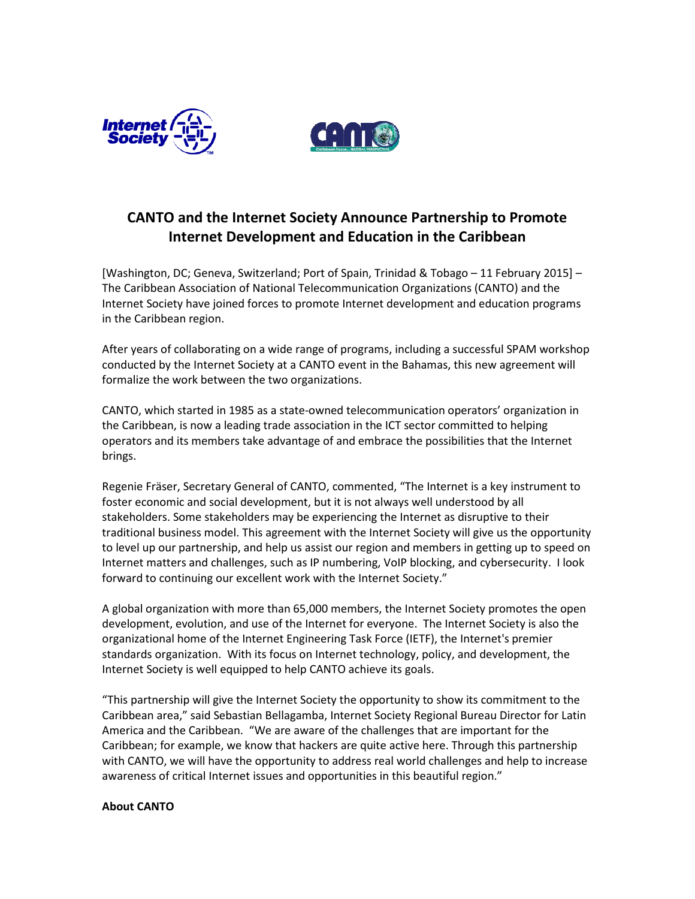



## CANTO and the Internet Society Announce Partnership to Promote Internet Development and Education in the Caribbean

[Washington, DC; Geneva, Switzerland; Port of Spain, Trinidad & Tobago – 11 February 2015] – The Caribbean Association of National Telecommunication Organizations (CANTO) and the Internet Society have joined forces to promote Internet development and education programs in the Caribbean region.

After years of collaborating on a wide range of programs, including a successful SPAM workshop conducted by the Internet Society at a CANTO event in the Bahamas, this new agreement will formalize the work between the two organizations.

CANTO, which started in 1985 as a state-owned telecommunication operators' organization in the Caribbean, is now a leading trade association in the ICT sector committed to helping operators and its members take advantage of and embrace the possibilities that the Internet brings.

Regenie Fräser, Secretary General of CANTO, commented, "The Internet is a key instrument to foster economic and social development, but it is not always well understood by all stakeholders. Some stakeholders may be experiencing the Internet as disruptive to their traditional business model. This agreement with the Internet Society will give us the opportunity to level up our partnership, and help us assist our region and members in getting up to speed on Internet matters and challenges, such as IP numbering, VoIP blocking, and cybersecurity. I look forward to continuing our excellent work with the Internet Society."

A global organization with more than 65,000 members, the Internet Society promotes the open development, evolution, and use of the Internet for everyone. The Internet Society is also the organizational home of the Internet Engineering Task Force (IETF), the Internet's premier standards organization. With its focus on Internet technology, policy, and development, the Internet Society is well equipped to help CANTO achieve its goals.

"This partnership will give the Internet Society the opportunity to show its commitment to the Caribbean area," said Sebastian Bellagamba, Internet Society Regional Bureau Director for Latin America and the Caribbean. "We are aware of the challenges that are important for the Caribbean; for example, we know that hackers are quite active here. Through this partnership with CANTO, we will have the opportunity to address real world challenges and help to increase awareness of critical Internet issues and opportunities in this beautiful region."

## About CANTO